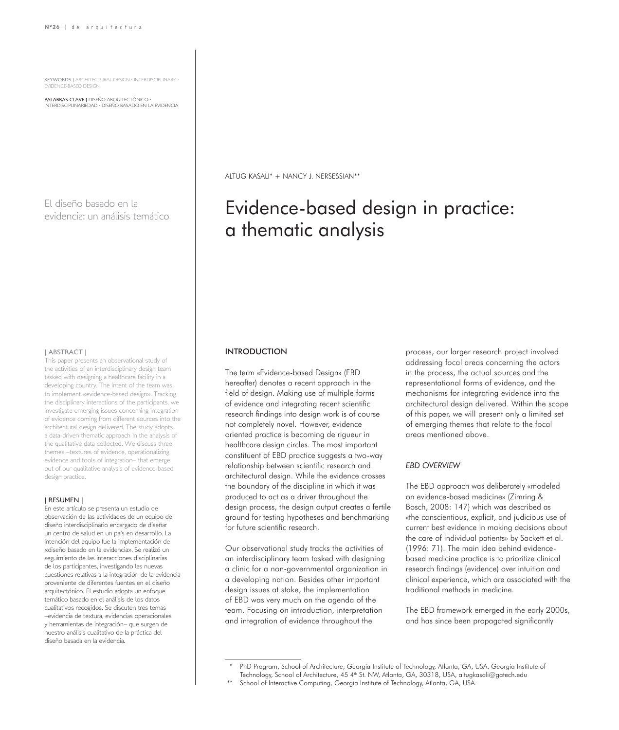KEYWORDS | ARCHITECTURAL DESIGN · INTERDISCIPLINARY · EVIDENCE-BASED DESIGN

PALABRAS CLAVE | DISEÑO ARQUITECTÓNICO · INTERDISCIPLINARIEDAD · DISEÑO BASADO EN LA EVIDENCIA

El diseño basado en la evidencia: un análisis temático

#### | ABSTRACT |

This paper presents an observational study of the activities of an interdisciplinary design team tasked with designing a healthcare facility in a developing country. The intent of the team was to implement «evidence-based design». Tracking the disciplinary interactions of the participants, we investigate emerging issues concerning integration of evidence coming from different sources into the architectural design delivered. The study adopts a data-driven thematic approach in the analysis of the qualitative data collected. We discuss three themes –textures of evidence, operationalizing evidence and tools of integration– that emerge out of our qualitative analysis of evidence-based design practice.

#### | RESUMEN |

En este artículo se presenta un estudio de observación de las actividades de un equipo de diseño interdisciplinario encargado de diseñar un centro de salud en un país en desarrollo. La intención del equipo fue la implementación de «diseño basado en la evidencia». Se realizó un seguimiento de las interacciones disciplinarias de los participantes, investigando las nuevas cuestiones relativas a la integración de la evidencia proveniente de diferentes fuentes en el diseño arquitectónico. El estudio adopta un enfoque temático basado en el análisis de los datos cualitativos recogidos. Se discuten tres temas –evidencia de textura, evidencias operacionales y herramientas de integración– que surgen de nuestro análisis cualitativo de la práctica del diseño basada en la evidencia.

ALTUG KASALI\* + NANCY J. NERSESSIAN\*\*

# Evidence-based design in practice: a thematic analysis

## INTRODUCTION

The term «Evidence-based Design» (EBD hereafter) denotes a recent approach in the field of design. Making use of multiple forms of evidence and integrating recent scientific research findings into design work is of course not completely novel. However, evidence oriented practice is becoming de rigueur in healthcare design circles. The most important constituent of EBD practice suggests a two-way relationship between scientific research and architectural design. While the evidence crosses the boundary of the discipline in which it was produced to act as a driver throughout the design process, the design output creates a fertile ground for testing hypotheses and benchmarking for future scientific research.

Our observational study tracks the activities of an interdisciplinary team tasked with designing a clinic for a non-governmental organization in a developing nation. Besides other important design issues at stake, the implementation of EBD was very much on the agenda of the team. Focusing on introduction, interpretation and integration of evidence throughout the

process, our larger research project involved addressing focal areas concerning the actors in the process, the actual sources and the representational forms of evidence, and the mechanisms for integrating evidence into the architectural design delivered. Within the scope of this paper, we will present only a limited set of emerging themes that relate to the focal areas mentioned above.

## *EBD OVERVIEW*

The EBD approach was deliberately «modeled on evidence-based medicine» (Zimring & Bosch, 2008: 147) which was described as «the conscientious, explicit, and judicious use of current best evidence in making decisions about the care of individual patients» by Sackett et al. (1996: 71). The main idea behind evidencebased medicine practice is to prioritize clinical research findings (evidence) over intuition and clinical experience, which are associated with the traditional methods in medicine.

The EBD framework emerged in the early 2000s, and has since been propagated significantly

PhD Program, School of Architecture, Georgia Institute of Technology, Atlanta, GA, USA. Georgia Institute of Technology, School of Architecture, 45 4<sup>th</sup> St. NW, Atlanta, GA, 30318, USA, altugkasali@gatech.edu

School of Interactive Computing, Georgia Institute of Technology, Atlanta, GA, USA.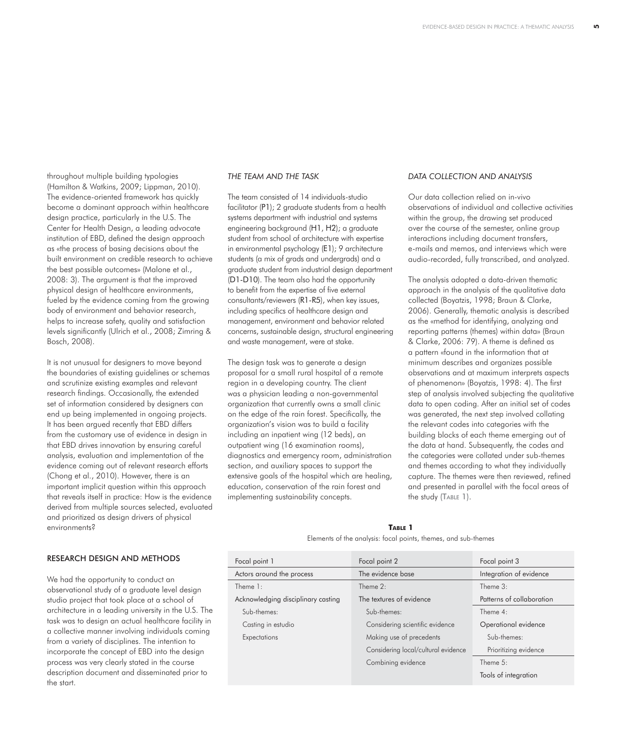throughout multiple building typologies (Hamilton & Watkins, 2009; Lippman, 2010). The evidence-oriented framework has quickly become a dominant approach within healthcare design practice, particularly in the U.S. The Center for Health Design, a leading advocate institution of EBD, defined the design approach as «the process of basing decisions about the built environment on credible research to achieve the best possible outcomes» (Malone et al., 2008: 3). The argument is that the improved physical design of healthcare environments, fueled by the evidence coming from the growing body of environment and behavior research, helps to increase safety, quality and satisfaction levels significantly (Ulrich et al., 2008; Zimring & Bosch, 2008).

It is not unusual for designers to move beyond the boundaries of existing guidelines or schemas and scrutinize existing examples and relevant research findings. Occasionally, the extended set of information considered by designers can end up being implemented in ongoing projects. It has been argued recently that EBD differs from the customary use of evidence in design in that EBD drives innovation by ensuring careful analysis, evaluation and implementation of the evidence coming out of relevant research efforts (Chong et al., 2010). However, there is an important implicit question within this approach that reveals itself in practice: How is the evidence derived from multiple sources selected, evaluated and prioritized as design drivers of physical environments?

## RESEARCH DESIGN AND METHODS

We had the opportunity to conduct an observational study of a graduate level design studio project that took place at a school of architecture in a leading university in the U.S. The task was to design an actual healthcare facility in a collective manner involving individuals coming from a variety of disciplines. The intention to incorporate the concept of EBD into the design process was very clearly stated in the course description document and disseminated prior to the start.

## *THE TEAM AND THE TASK*

The team consisted of 14 individuals-studio facilitator (P1); 2 graduate students from a health systems department with industrial and systems engineering background (H1, H2); a graduate student from school of architecture with expertise in environmental psychology (E1); 9 architecture students (a mix of grads and undergrads) and a graduate student from industrial design department (D1-D10). The team also had the opportunity to benefit from the expertise of five external consultants/reviewers (R1-R5), when key issues, including specifics of healthcare design and management, environment and behavior related concerns, sustainable design, structural engineering and waste management, were at stake.

The design task was to generate a design proposal for a small rural hospital of a remote region in a developing country. The client was a physician leading a non-governmental organization that currently owns a small clinic on the edge of the rain forest. Specifically, the organization's vision was to build a facility including an inpatient wing (12 beds), an outpatient wing (16 examination rooms), diagnostics and emergency room, administration section, and auxiliary spaces to support the extensive goals of the hospital which are healing, education, conservation of the rain forest and implementing sustainability concepts.

# *DATA COLLECTION AND ANALYSIS*

Our data collection relied on in-vivo observations of individual and collective activities within the group, the drawing set produced over the course of the semester, online group interactions including document transfers, e-mails and memos, and interviews which were audio-recorded, fully transcribed, and analyzed.

The analysis adopted a data-driven thematic approach in the analysis of the qualitative data collected (Boyatzis, 1998; Braun & Clarke, 2006). Generally, thematic analysis is described as the «method for identifying, analyzing and reporting patterns (themes) within data» (Braun & Clarke, 2006: 79). A theme is defined as a pattern «found in the information that at minimum describes and organizes possible observations and at maximum interprets aspects of phenomenon» (Boyatzis, 1998: 4). The first step of analysis involved subjecting the qualitative data to open coding. After an initial set of codes was generated, the next step involved collating the relevant codes into categories with the building blocks of each theme emerging out of the data at hand. Subsequently, the codes and the categories were collated under sub-themes and themes according to what they individually capture. The themes were then reviewed, refined and presented in parallel with the focal areas of the study (TABLE 1).

### **Table 1**

Elements of the analysis: focal points, themes, and sub-themes

| Focal point 1                      | Focal point 2                       | Focal point 3             |
|------------------------------------|-------------------------------------|---------------------------|
| Actors around the process          | The evidence base                   | Integration of evidence   |
| Theme $1:$                         | Theme $2:$                          | Theme $3:$                |
| Acknowledging disciplinary casting | The textures of evidence            | Patterns of collaboration |
| Sub-themes:                        | Sub-themes:                         | Theme $4:$                |
| Casting in estudio                 | Considering scientific evidence     | Operational evidence      |
| Expectations                       | Making use of precedents            | Sub-themes:               |
|                                    | Considering local/cultural evidence | Prioritizing evidence     |
|                                    | Combining evidence                  | Theme $5:$                |
|                                    |                                     | Tools of integration      |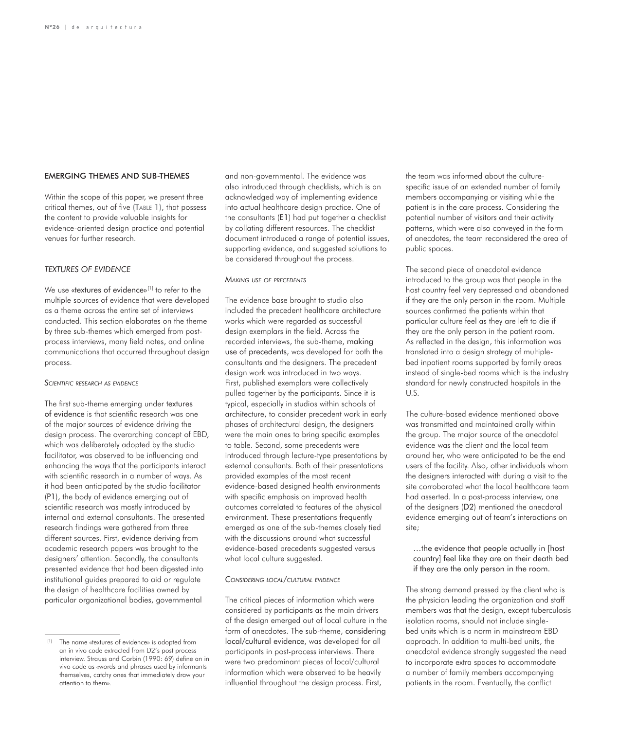# EMERGING THEMES AND SUB-THEMES

Within the scope of this paper, we present three critical themes, out of five (Table 1), that possess the content to provide valuable insights for evidence-oriented design practice and potential venues for further research.

# *TEXTURES OF EVIDENCE*

We use «textures of evidence»<sup>[1]</sup> to refer to the multiple sources of evidence that were developed as a theme across the entire set of interviews conducted. This section elaborates on the theme by three sub-themes which emerged from postprocess interviews, many field notes, and online communications that occurred throughout design process.

## *Scientific research as evidence*

The first sub-theme emerging under textures of evidence is that scientific research was one of the major sources of evidence driving the design process. The overarching concept of EBD, which was deliberately adopted by the studio facilitator, was observed to be influencing and enhancing the ways that the participants interact with scientific research in a number of ways. As it had been anticipated by the studio facilitator (P1), the body of evidence emerging out of scientific research was mostly introduced by internal and external consultants. The presented research findings were gathered from three different sources. First, evidence deriving from academic research papers was brought to the designers' attention. Secondly, the consultants presented evidence that had been digested into institutional guides prepared to aid or regulate the design of healthcare facilities owned by particular organizational bodies, governmental

and non-governmental. The evidence was also introduced through checklists, which is an acknowledged way of implementing evidence into actual healthcare design practice. One of the consultants (E1) had put together a checklist by collating different resources. The checklist document introduced a range of potential issues, supporting evidence, and suggested solutions to be considered throughout the process.

#### *Making use of precedents*

The evidence base brought to studio also included the precedent healthcare architecture works which were regarded as successful design exemplars in the field. Across the recorded interviews, the sub-theme, making use of precedents, was developed for both the consultants and the designers. The precedent design work was introduced in two ways. First, published exemplars were collectively pulled together by the participants. Since it is typical, especially in studios within schools of architecture, to consider precedent work in early phases of architectural design, the designers were the main ones to bring specific examples to table. Second, some precedents were introduced through lecture-type presentations by external consultants. Both of their presentations provided examples of the most recent evidence-based designed health environments with specific emphasis on improved health outcomes correlated to features of the physical environment. These presentations frequently emerged as one of the sub-themes closely tied with the discussions around what successful evidence-based precedents suggested versus what local culture suggested.

#### *Considering local/cultural evidence*

The critical pieces of information which were considered by participants as the main drivers of the design emerged out of local culture in the form of anecdotes. The sub-theme, considering local/cultural evidence, was developed for all participants in post-process interviews. There were two predominant pieces of local/cultural information which were observed to be heavily influential throughout the design process. First,

the team was informed about the culturespecific issue of an extended number of family members accompanying or visiting while the patient is in the care process. Considering the potential number of visitors and their activity patterns, which were also conveyed in the form of anecdotes, the team reconsidered the area of public spaces.

The second piece of anecdotal evidence introduced to the group was that people in the host country feel very depressed and abandoned if they are the only person in the room. Multiple sources confirmed the patients within that particular culture feel as they are left to die if they are the only person in the patient room. As reflected in the design, this information was translated into a design strategy of multiplebed inpatient rooms supported by family areas instead of single-bed rooms which is the industry standard for newly constructed hospitals in the U.S.

The culture-based evidence mentioned above was transmitted and maintained orally within the group. The major source of the anecdotal evidence was the client and the local team around her, who were anticipated to be the end users of the facility. Also, other individuals whom the designers interacted with during a visit to the site corroborated what the local healthcare team had asserted. In a post-process interview, one of the designers (D2) mentioned the anecdotal evidence emerging out of team's interactions on site;

…the evidence that people actually in [host country] feel like they are on their death bed if they are the only person in the room.

The strong demand pressed by the client who is the physician leading the organization and staff members was that the design, except tuberculosis isolation rooms, should not include singlebed units which is a norm in mainstream EBD approach. In addition to multi-bed units, the anecdotal evidence strongly suggested the need to incorporate extra spaces to accommodate a number of family members accompanying patients in the room. Eventually, the conflict

<sup>[1]</sup> The name «textures of evidence» is adopted from an in vivo code extracted from D2's post process interview. Strauss and Corbin (1990: 69) define an in vivo code as «words and phrases used by informants themselves, catchy ones that immediately draw your attention to them».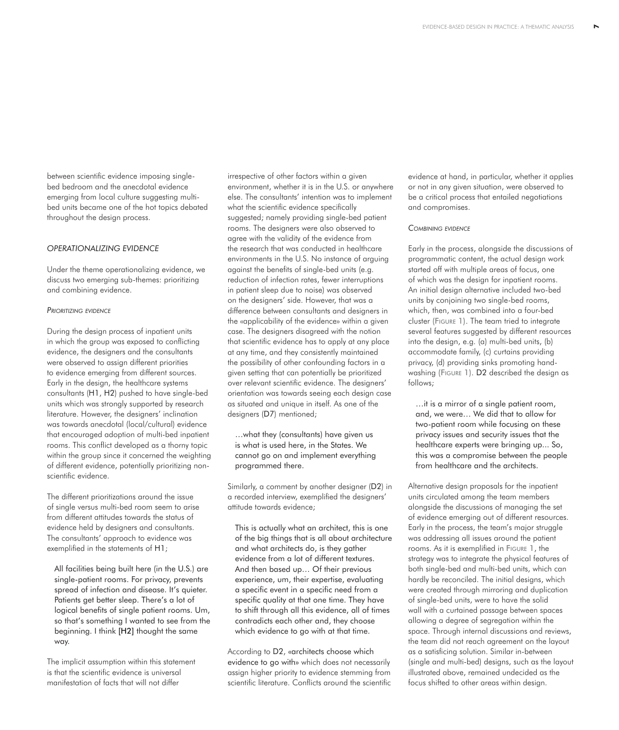between scientific evidence imposing singlebed bedroom and the anecdotal evidence emerging from local culture suggesting multibed units became one of the hot topics debated throughout the design process.

## *OPERATIONALIZING EVIDENCE*

Under the theme operationalizing evidence, we discuss two emerging sub-themes: prioritizing and combining evidence.

#### *Prioritizing evidence*

During the design process of inpatient units in which the group was exposed to conflicting evidence, the designers and the consultants were observed to assign different priorities to evidence emerging from different sources. Early in the design, the healthcare systems consultants (H1, H2) pushed to have single-bed units which was strongly supported by research literature. However, the designers' inclination was towards anecdotal (local/cultural) evidence that encouraged adoption of multi-bed inpatient rooms. This conflict developed as a thorny topic within the group since it concerned the weighting of different evidence, potentially prioritizing nonscientific evidence.

The different prioritizations around the issue of single versus multi-bed room seem to arise from different attitudes towards the status of evidence held by designers and consultants. The consultants' approach to evidence was exemplified in the statements of H1;

All facilities being built here (in the U.S.) are single-patient rooms. For privacy, prevents spread of infection and disease. It's quieter. Patients get better sleep. There's a lot of logical benefits of single patient rooms. Um, so that's something I wanted to see from the beginning. I think [H2] thought the same way.

The implicit assumption within this statement is that the scientific evidence is universal manifestation of facts that will not differ

irrespective of other factors within a given environment, whether it is in the U.S. or anywhere else. The consultants' intention was to implement what the scientific evidence specifically suggested; namely providing single-bed patient rooms. The designers were also observed to agree with the validity of the evidence from the research that was conducted in healthcare environments in the U.S. No instance of arguing against the benefits of single-bed units (e.g. reduction of infection rates, fewer interruptions in patient sleep due to noise) was observed on the designers' side. However, that was a difference between consultants and designers in the «applicability of the evidence» within a given case. The designers disagreed with the notion that scientific evidence has to apply at any place at any time, and they consistently maintained the possibility of other confounding factors in a given setting that can potentially be prioritized over relevant scientific evidence. The designers' orientation was towards seeing each design case as situated and unique in itself. As one of the designers (D7) mentioned;

…what they (consultants) have given us is what is used here, in the States. We cannot go on and implement everything programmed there.

Similarly, a comment by another designer (D2) in a recorded interview, exemplified the designers' attitude towards evidence;

This is actually what an architect, this is one of the big things that is all about architecture and what architects do, is they gather evidence from a lot of different textures. And then based up… Of their previous experience, um, their expertise, evaluating a specific event in a specific need from a specific quality at that one time. They have to shift through all this evidence, all of times contradicts each other and, they choose which evidence to go with at that time.

According to D2, «architects choose which evidence to go with» which does not necessarily assign higher priority to evidence stemming from scientific literature. Conflicts around the scientific evidence at hand, in particular, whether it applies or not in any given situation, were observed to be a critical process that entailed negotiations and compromises.

## *Combining evidence*

Early in the process, alongside the discussions of programmatic content, the actual design work started off with multiple areas of focus, one of which was the design for inpatient rooms. An initial design alternative included two-bed units by conjoining two single-bed rooms, which, then, was combined into a four-bed cluster (Figure 1). The team tried to integrate several features suggested by different resources into the design, e.g. (a) multi-bed units, (b) accommodate family, (c) curtains providing privacy, (d) providing sinks promoting handwashing (Figure 1). D2 described the design as follows;

…it is a mirror of a single patient room, and, we were… We did that to allow for two-patient room while focusing on these privacy issues and security issues that the healthcare experts were bringing up... So, this was a compromise between the people from healthcare and the architects.

Alternative design proposals for the inpatient units circulated among the team members alongside the discussions of managing the set of evidence emerging out of different resources. Early in the process, the team's major struggle was addressing all issues around the patient rooms. As it is exemplified in Figure 1, the strategy was to integrate the physical features of both single-bed and multi-bed units, which can hardly be reconciled. The initial designs, which were created through mirroring and duplication of single-bed units, were to have the solid wall with a curtained passage between spaces allowing a degree of segregation within the space. Through internal discussions and reviews, the team did not reach agreement on the layout as a satisficing solution. Similar in-between (single and multi-bed) designs, such as the layout illustrated above, remained undecided as the focus shifted to other areas within design.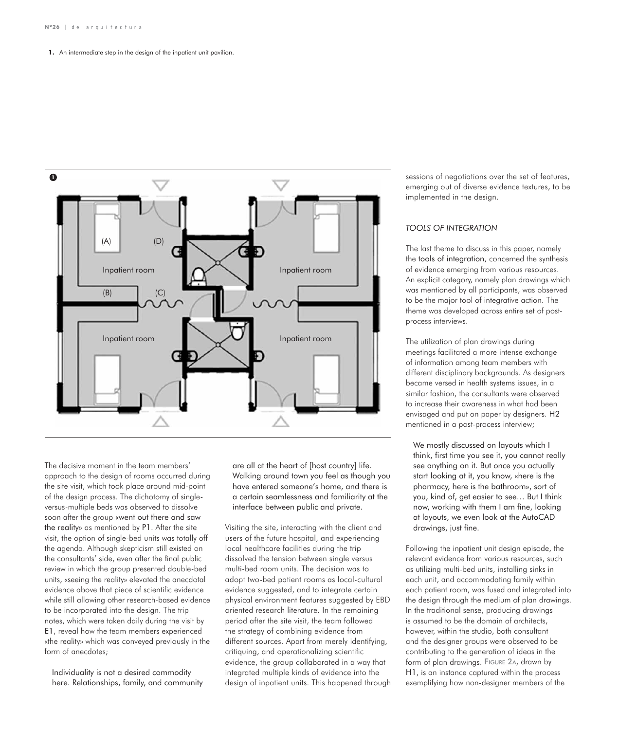#### **1.** An intermediate step in the design of the inpatient unit pavilion.



The decisive moment in the team members' approach to the design of rooms occurred during the site visit, which took place around mid-point of the design process. The dichotomy of singleversus-multiple beds was observed to dissolve soon after the group «went out there and saw the reality» as mentioned by P1. After the site visit, the option of single-bed units was totally off the agenda. Although skepticism still existed on the consultants' side, even after the final public review in which the group presented double-bed units, «seeing the reality» elevated the anecdotal evidence above that piece of scientific evidence while still allowing other research-based evidence to be incorporated into the design. The trip notes, which were taken daily during the visit by E1, reveal how the team members experienced «the reality» which was conveyed previously in the form of anecdotes;

Individuality is not a desired commodity here. Relationships, family, and community are all at the heart of [host country] life. Walking around town you feel as though you have entered someone's home, and there is a certain seamlessness and familiarity at the interface between public and private.

Visiting the site, interacting with the client and users of the future hospital, and experiencing local healthcare facilities during the trip dissolved the tension between single versus multi-bed room units. The decision was to adopt two-bed patient rooms as local-cultural evidence suggested, and to integrate certain physical environment features suggested by EBD oriented research literature. In the remaining period after the site visit, the team followed the strategy of combining evidence from different sources. Apart from merely identifying, critiquing, and operationalizing scientific evidence, the group collaborated in a way that integrated multiple kinds of evidence into the design of inpatient units. This happened through

sessions of negotiations over the set of features, emerging out of diverse evidence textures, to be implemented in the design.

# *TOOLS OF INTEGRATION*

The last theme to discuss in this paper, namely the tools of integration, concerned the synthesis of evidence emerging from various resources. An explicit category, namely plan drawings which was mentioned by all participants, was observed to be the major tool of integrative action. The theme was developed across entire set of postprocess interviews.

The utilization of plan drawings during meetings facilitated a more intense exchange of information among team members with different disciplinary backgrounds. As designers became versed in health systems issues, in a similar fashion, the consultants were observed to increase their awareness in what had been envisaged and put on paper by designers. H2 mentioned in a post-process interview;

We mostly discussed on layouts which I think, first time you see it, you cannot really see anything on it. But once you actually start looking at it, you know, «here is the pharmacy, here is the bathroom», sort of you, kind of, get easier to see… But I think now, working with them I am fine, looking at layouts, we even look at the AutoCAD drawings, just fine.

Following the inpatient unit design episode, the relevant evidence from various resources, such as utilizing multi-bed units, installing sinks in each unit, and accommodating family within each patient room, was fused and integrated into the design through the medium of plan drawings. In the traditional sense, producing drawings is assumed to be the domain of architects, however, within the studio, both consultant and the designer groups were observed to be contributing to the generation of ideas in the form of plan drawings. FIGURE 2A, drawn by H1, is an instance captured within the process exemplifying how non-designer members of the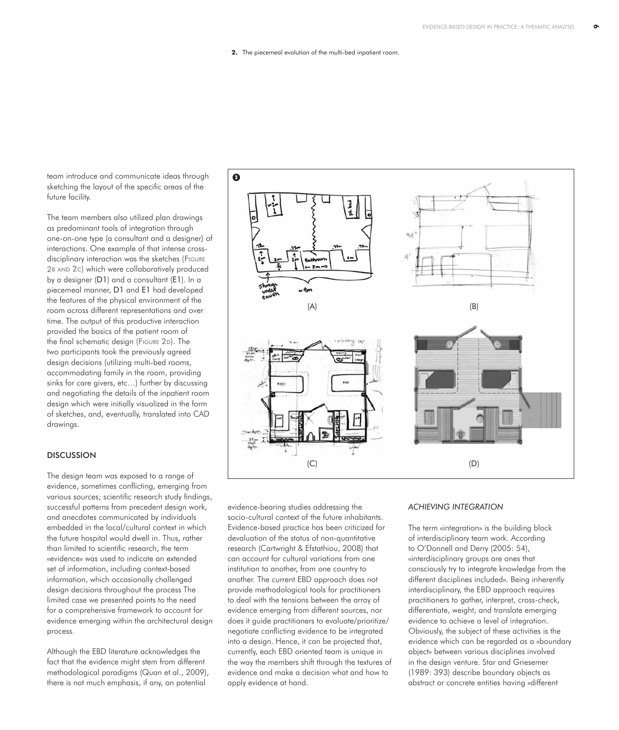#### **2.** The piecemeal evolution of the multi-bed inpatient room.

team introduce and communicate ideas through sketching the layout of the specific areas of the future facility.

The team members also utilized plan drawings as predominant tools of integration through one-on-one type (a consultant and a designer) of interactions. One example of that intense crossdisciplinary interaction was the sketches (Figure 2B AND 2c) which were collaboratively produced by a designer (D1) and a consultant (E1). In a piecemeal manner, D1 and E1 had developed the features of the physical environment of the room across different representations and over time. The output of this productive interaction provided the basics of the patient room of the final schematic design (FIGURE 2D). The two participants took the previously agreed design decisions (utilizing multi-bed rooms, accommodating family in the room, providing sinks for care givers, etc…) further by discussing and negotiating the details of the inpatient room design which were initially visualized in the form of sketches, and, eventually, translated into CAD drawings.

## **DISCUSSION**

The design team was exposed to a range of evidence, sometimes conflicting, emerging from various sources; scientific research study findings, successful patterns from precedent design work, and anecdotes communicated by individuals embedded in the local/cultural context in which the future hospital would dwell in. Thus, rather than limited to scientific research, the term «evidence» was used to indicate an extended set of information, including context-based information, which occasionally challenged design decisions throughout the process The limited case we presented points to the need for a comprehensive framework to account for evidence emerging within the architectural design process.

Although the EBD literature acknowledges the fact that the evidence might stem from different methodological paradigms (Quan et al., 2009), there is not much emphasis, if any, on potential



evidence-bearing studies addressing the socio-cultural context of the future inhabitants. Evidence-based practice has been criticized for devaluation of the status of non-quantitative research (Cartwright & Efstathiou, 2008) that can account for cultural variations from one institution to another, from one country to another. The current EBD approach does not provide methodological tools for practitioners to deal with the tensions between the array of evidence emerging from different sources, nor does it guide practitioners to evaluate/prioritize/ negotiate conflicting evidence to be integrated into a design. Hence, it can be projected that, currently, each EBD oriented team is unique in the way the members shift through the textures of evidence and make a decision what and how to apply evidence at hand.

## *ACHIEVING INTEGRATION*

The term «integration» is the building block of interdisciplinary team work. According to O'Donnell and Derry (2005: 54), «interdisciplinary groups are ones that consciously try to integrate knowledge from the different disciplines included». Being inherently interdisciplinary, the EBD approach requires practitioners to gather, interpret, cross-check, differentiate, weight, and translate emerging evidence to achieve a level of integration. Obviously, the subject of these activities is the evidence which can be regarded as a «boundary object» between various disciplines involved in the design venture. Star and Griesemer (1989: 393) describe boundary objects as abstract or concrete entities having «different